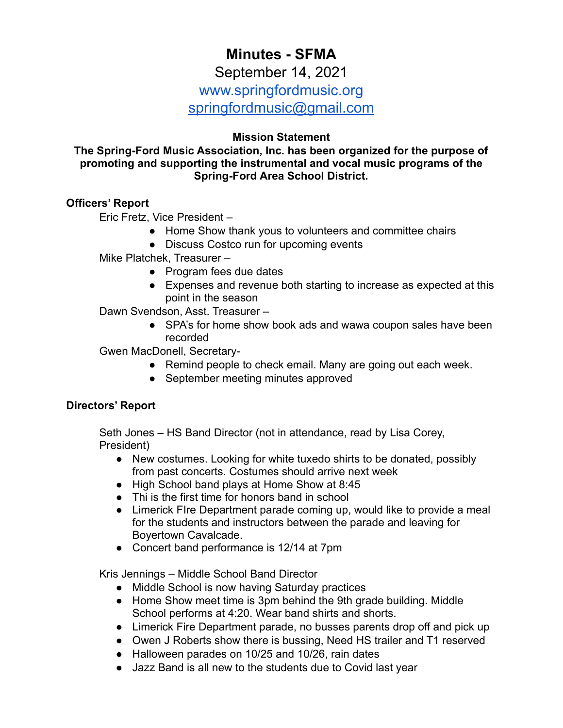# **Minutes - SFMA**

September 14, 2021

www.springfordmusic.org

[springfordmusic@gmail.com](mailto:springfordmusic@gmail.com)

# **Mission Statement**

**The Spring-Ford Music Association, Inc. has been organized for the purpose of promoting and supporting the instrumental and vocal music programs of the Spring-Ford Area School District.**

# **Officers' Report**

Eric Fretz, Vice President –

- Home Show thank yous to volunteers and committee chairs
- Discuss Costco run for upcoming events

Mike Platchek, Treasurer –

- Program fees due dates
- Expenses and revenue both starting to increase as expected at this point in the season

Dawn Svendson, Asst. Treasurer –

• SPA's for home show book ads and wawa coupon sales have been recorded

Gwen MacDonell, Secretary-

- Remind people to check email. Many are going out each week.
- September meeting minutes approved

# **Directors' Report**

Seth Jones – HS Band Director (not in attendance, read by Lisa Corey, President)

- New costumes. Looking for white tuxedo shirts to be donated, possibly from past concerts. Costumes should arrive next week
- High School band plays at Home Show at 8:45
- Thi is the first time for honors band in school
- Limerick FIre Department parade coming up, would like to provide a meal for the students and instructors between the parade and leaving for Boyertown Cavalcade.
- Concert band performance is 12/14 at 7pm

Kris Jennings – Middle School Band Director

- Middle School is now having Saturday practices
- Home Show meet time is 3pm behind the 9th grade building. Middle School performs at 4:20. Wear band shirts and shorts.
- Limerick Fire Department parade, no busses parents drop off and pick up
- Owen J Roberts show there is bussing, Need HS trailer and T1 reserved
- Halloween parades on 10/25 and 10/26, rain dates
- Jazz Band is all new to the students due to Covid last year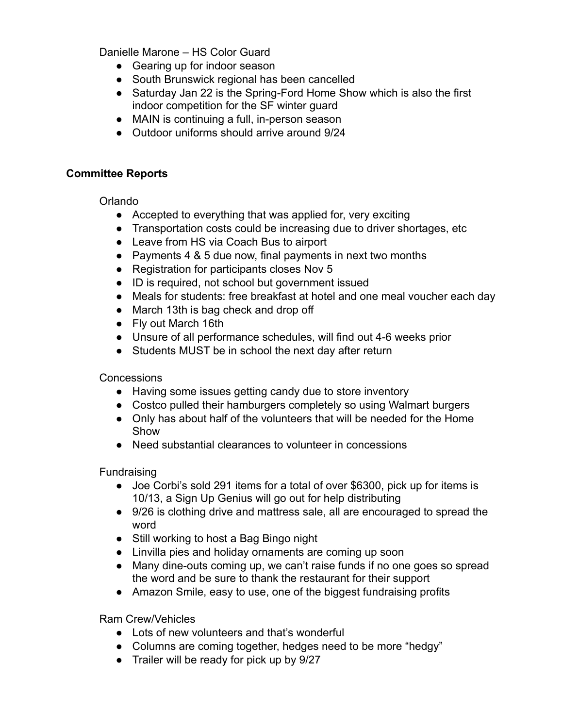Danielle Marone – HS Color Guard

- Gearing up for indoor season
- South Brunswick regional has been cancelled
- Saturday Jan 22 is the Spring-Ford Home Show which is also the first indoor competition for the SF winter guard
- MAIN is continuing a full, in-person season
- Outdoor uniforms should arrive around 9/24

## **Committee Reports**

Orlando

- Accepted to everything that was applied for, very exciting
- Transportation costs could be increasing due to driver shortages, etc
- Leave from HS via Coach Bus to airport
- Payments 4 & 5 due now, final payments in next two months
- Registration for participants closes Nov 5
- ID is required, not school but government issued
- Meals for students: free breakfast at hotel and one meal voucher each day
- March 13th is bag check and drop off
- Fly out March 16th
- Unsure of all performance schedules, will find out 4-6 weeks prior
- Students MUST be in school the next day after return

Concessions

- Having some issues getting candy due to store inventory
- Costco pulled their hamburgers completely so using Walmart burgers
- Only has about half of the volunteers that will be needed for the Home Show
- Need substantial clearances to volunteer in concessions

**Fundraising** 

- Joe Corbi's sold 291 items for a total of over \$6300, pick up for items is 10/13, a Sign Up Genius will go out for help distributing
- 9/26 is clothing drive and mattress sale, all are encouraged to spread the word
- Still working to host a Bag Bingo night
- Linvilla pies and holiday ornaments are coming up soon
- Many dine-outs coming up, we can't raise funds if no one goes so spread the word and be sure to thank the restaurant for their support
- Amazon Smile, easy to use, one of the biggest fundraising profits

Ram Crew/Vehicles

- Lots of new volunteers and that's wonderful
- Columns are coming together, hedges need to be more "hedgy"
- Trailer will be ready for pick up by 9/27